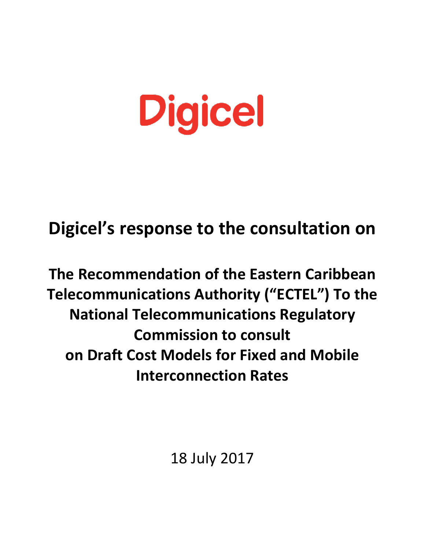# **Digicel**

# **Digicel's response to the consultation on**

# **The Recommendation of the Eastern Caribbean Telecommunications Authority ("ECTEL") To the National Telecommunications Regulatory Commission to consult on Draft Cost Models for Fixed and Mobile Interconnection Rates**

18 July 2017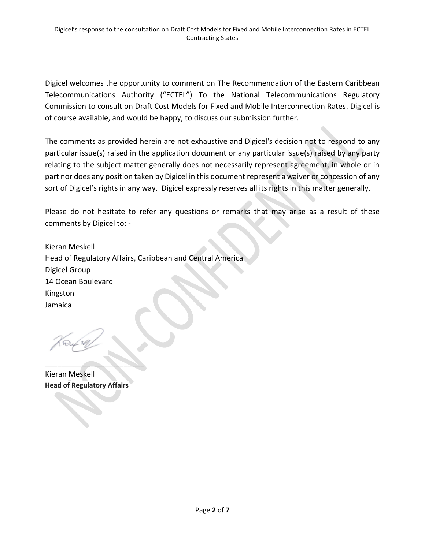Digicel welcomes the opportunity to comment on The Recommendation of the Eastern Caribbean Telecommunications Authority ("ECTEL") To the National Telecommunications Regulatory Commission to consult on Draft Cost Models for Fixed and Mobile Interconnection Rates. Digicel is of course available, and would be happy, to discuss our submission further.

The comments as provided herein are not exhaustive and Digicel's decision not to respond to any particular issue(s) raised in the application document or any particular issue(s) raised by any party relating to the subject matter generally does not necessarily represent agreement, in whole or in part nor does any position taken by Digicel in this document represent a waiver or concession of any sort of Digicel's rights in any way. Digicel expressly reserves all its rights in this matter generally.

Please do not hesitate to refer any questions or remarks that may arise as a result of these comments by Digicel to: -

Kieran Meskell Head of Regulatory Affairs, Caribbean and Central America Digicel Group 14 Ocean Boulevard Kingston Jamaica

Kieran Meskell **Head of Regulatory Affairs**

\_\_\_\_\_\_\_\_\_\_\_\_\_\_\_\_\_\_\_\_\_\_\_\_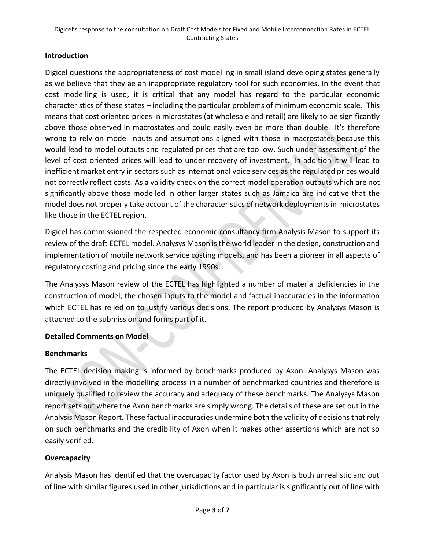#### **Introduction**

Digicel questions the appropriateness of cost modelling in small island developing states generally as we believe that they ae an inappropriate regulatory tool for such economies. In the event that cost modelling is used, it is critical that any model has regard to the particular economic characteristics of these states – including the particular problems of minimum economic scale. This means that cost oriented prices in microstates (at wholesale and retail) are likely to be significantly above those observed in macrostates and could easily even be more than double. It's therefore wrong to rely on model inputs and assumptions aligned with those in macrostates because this would lead to model outputs and regulated prices that are too low. Such under assessment of the level of cost oriented prices will lead to under recovery of investment. In addition it will lead to inefficient market entry in sectors such as international voice services as the regulated prices would not correctly reflect costs. As a validity check on the correct model operation outputs which are not significantly above those modelled in other larger states such as Jamaica are indicative that the model does not properly take account of the characteristics of network deployments in microstates like those in the ECTEL region.

Digicel has commissioned the respected economic consultancy firm Analysis Mason to support its review of the draft ECTEL model. Analysys Mason is the world leader in the design, construction and implementation of mobile network service costing models, and has been a pioneer in all aspects of regulatory costing and pricing since the early 1990s.

The Analysys Mason review of the ECTEL has highlighted a number of material deficiencies in the construction of model, the chosen inputs to the model and factual inaccuracies in the information which ECTEL has relied on to justify various decisions. The report produced by Analysys Mason is attached to the submission and forms part of it.

#### **Detailed Comments on Model**

#### **Benchmarks**

The ECTEL decision making is informed by benchmarks produced by Axon. Analysys Mason was directly involved in the modelling process in a number of benchmarked countries and therefore is uniquely qualified to review the accuracy and adequacy of these benchmarks. The Analysys Mason report sets out where the Axon benchmarks are simply wrong. The details of these are set out in the Analysis Mason Report. These factual inaccuracies undermine both the validity of decisions that rely on such benchmarks and the credibility of Axon when it makes other assertions which are not so easily verified.

#### **Overcapacity**

Analysis Mason has identified that the overcapacity factor used by Axon is both unrealistic and out of line with similar figures used in other jurisdictions and in particular is significantly out of line with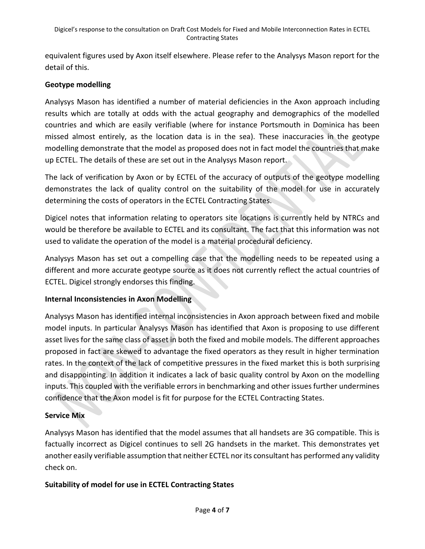equivalent figures used by Axon itself elsewhere. Please refer to the Analysys Mason report for the detail of this.

#### **Geotype modelling**

Analysys Mason has identified a number of material deficiencies in the Axon approach including results which are totally at odds with the actual geography and demographics of the modelled countries and which are easily verifiable (where for instance Portsmouth in Dominica has been missed almost entirely, as the location data is in the sea). These inaccuracies in the geotype modelling demonstrate that the model as proposed does not in fact model the countries that make up ECTEL. The details of these are set out in the Analysys Mason report.

The lack of verification by Axon or by ECTEL of the accuracy of outputs of the geotype modelling demonstrates the lack of quality control on the suitability of the model for use in accurately determining the costs of operators in the ECTEL Contracting States.

Digicel notes that information relating to operators site locations is currently held by NTRCs and would be therefore be available to ECTEL and its consultant. The fact that this information was not used to validate the operation of the model is a material procedural deficiency.

Analysys Mason has set out a compelling case that the modelling needs to be repeated using a different and more accurate geotype source as it does not currently reflect the actual countries of ECTEL. Digicel strongly endorses this finding.

#### **Internal Inconsistencies in Axon Modelling**

Analysys Mason has identified internal inconsistencies in Axon approach between fixed and mobile model inputs. In particular Analysys Mason has identified that Axon is proposing to use different asset lives for the same class of asset in both the fixed and mobile models. The different approaches proposed in fact are skewed to advantage the fixed operators as they result in higher termination rates. In the context of the lack of competitive pressures in the fixed market this is both surprising and disappointing. In addition it indicates a lack of basic quality control by Axon on the modelling inputs. This coupled with the verifiable errors in benchmarking and other issues further undermines confidence that the Axon model is fit for purpose for the ECTEL Contracting States.

# **Service Mix**

Analysys Mason has identified that the model assumes that all handsets are 3G compatible. This is factually incorrect as Digicel continues to sell 2G handsets in the market. This demonstrates yet another easily verifiable assumption that neither ECTEL nor its consultant has performed any validity check on.

# **Suitability of model for use in ECTEL Contracting States**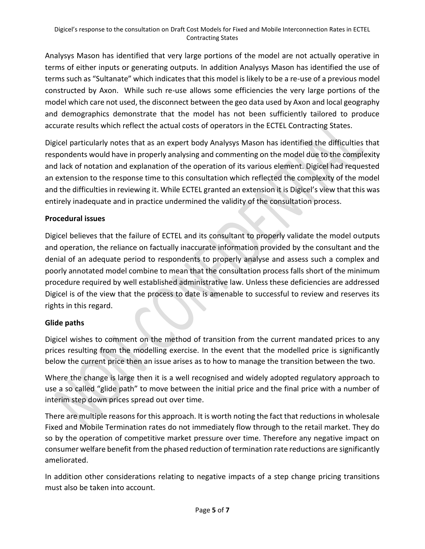Analysys Mason has identified that very large portions of the model are not actually operative in terms of either inputs or generating outputs. In addition Analysys Mason has identified the use of terms such as "Sultanate" which indicates that this model is likely to be a re-use of a previous model constructed by Axon. While such re-use allows some efficiencies the very large portions of the model which care not used, the disconnect between the geo data used by Axon and local geography and demographics demonstrate that the model has not been sufficiently tailored to produce accurate results which reflect the actual costs of operators in the ECTEL Contracting States.

Digicel particularly notes that as an expert body Analysys Mason has identified the difficulties that respondents would have in properly analysing and commenting on the model due to the complexity and lack of notation and explanation of the operation of its various element. Digicel had requested an extension to the response time to this consultation which reflected the complexity of the model and the difficulties in reviewing it. While ECTEL granted an extension it is Digicel's view that this was entirely inadequate and in practice undermined the validity of the consultation process.

#### **Procedural issues**

Digicel believes that the failure of ECTEL and its consultant to properly validate the model outputs and operation, the reliance on factually inaccurate information provided by the consultant and the denial of an adequate period to respondents to properly analyse and assess such a complex and poorly annotated model combine to mean that the consultation process falls short of the minimum procedure required by well established administrative law. Unless these deficiencies are addressed Digicel is of the view that the process to date is amenable to successful to review and reserves its rights in this regard.

#### **Glide paths**

Digicel wishes to comment on the method of transition from the current mandated prices to any prices resulting from the modelling exercise. In the event that the modelled price is significantly below the current price then an issue arises as to how to manage the transition between the two.

Where the change is large then it is a well recognised and widely adopted regulatory approach to use a so called "glide path" to move between the initial price and the final price with a number of interim step down prices spread out over time.

There are multiple reasons for this approach. It is worth noting the fact that reductions in wholesale Fixed and Mobile Termination rates do not immediately flow through to the retail market. They do so by the operation of competitive market pressure over time. Therefore any negative impact on consumer welfare benefit from the phased reduction of termination rate reductions are significantly ameliorated.

In addition other considerations relating to negative impacts of a step change pricing transitions must also be taken into account.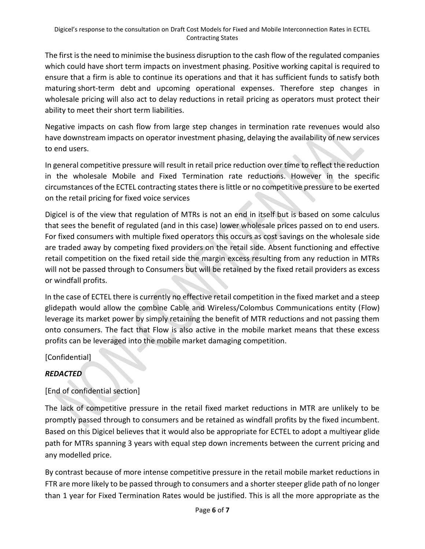The first is the need to minimise the business disruption to the cash flow of the regulated companies which could have short term impacts on investment phasing. Positive working capital is required to ensure that a firm is able to continue its operations and that it has sufficient funds to satisfy both maturing [short-term debt](https://en.wikipedia.org/wiki/Money_market) and upcoming operational expenses. Therefore step changes in wholesale pricing will also act to delay reductions in retail pricing as operators must protect their ability to meet their short term liabilities.

Negative impacts on cash flow from large step changes in termination rate revenues would also have downstream impacts on operator investment phasing, delaying the availability of new services to end users.

In general competitive pressure will result in retail price reduction over time to reflect the reduction in the wholesale Mobile and Fixed Termination rate reductions. However in the specific circumstances of the ECTEL contracting states there is little or no competitive pressure to be exerted on the retail pricing for fixed voice services

Digicel is of the view that regulation of MTRs is not an end in itself but is based on some calculus that sees the benefit of regulated (and in this case) lower wholesale prices passed on to end users. For fixed consumers with multiple fixed operators this occurs as cost savings on the wholesale side are traded away by competing fixed providers on the retail side. Absent functioning and effective retail competition on the fixed retail side the margin excess resulting from any reduction in MTRs will not be passed through to Consumers but will be retained by the fixed retail providers as excess or windfall profits.

In the case of ECTEL there is currently no effective retail competition in the fixed market and a steep glidepath would allow the combine Cable and Wireless/Colombus Communications entity (Flow) leverage its market power by simply retaining the benefit of MTR reductions and not passing them onto consumers. The fact that Flow is also active in the mobile market means that these excess profits can be leveraged into the mobile market damaging competition.

[Confidential]

# *REDACTED*

# [End of confidential section]

The lack of competitive pressure in the retail fixed market reductions in MTR are unlikely to be promptly passed through to consumers and be retained as windfall profits by the fixed incumbent. Based on this Digicel believes that it would also be appropriate for ECTEL to adopt a multiyear glide path for MTRs spanning 3 years with equal step down increments between the current pricing and any modelled price.

By contrast because of more intense competitive pressure in the retail mobile market reductions in FTR are more likely to be passed through to consumers and a shorter steeper glide path of no longer than 1 year for Fixed Termination Rates would be justified. This is all the more appropriate as the